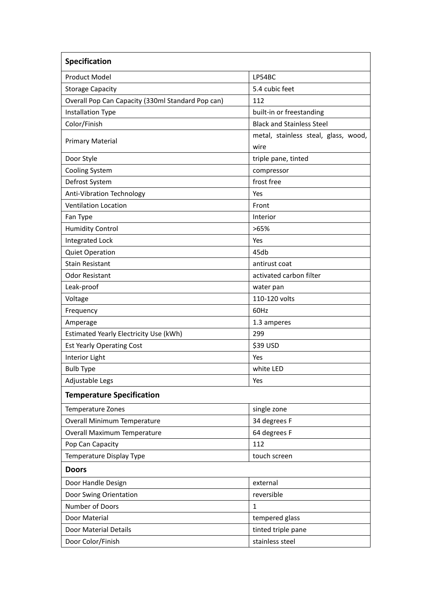| Specification                                     |                                              |  |
|---------------------------------------------------|----------------------------------------------|--|
| <b>Product Model</b>                              | LP54BC                                       |  |
| <b>Storage Capacity</b>                           | 5.4 cubic feet                               |  |
| Overall Pop Can Capacity (330ml Standard Pop can) | 112                                          |  |
| <b>Installation Type</b>                          | built-in or freestanding                     |  |
| Color/Finish                                      | <b>Black and Stainless Steel</b>             |  |
| <b>Primary Material</b>                           | metal, stainless steal, glass, wood,<br>wire |  |
| Door Style                                        | triple pane, tinted                          |  |
| <b>Cooling System</b>                             | compressor                                   |  |
| Defrost System                                    | frost free                                   |  |
| Anti-Vibration Technology                         | Yes                                          |  |
| <b>Ventilation Location</b>                       | Front                                        |  |
| Fan Type                                          | Interior                                     |  |
| <b>Humidity Control</b>                           | >65%                                         |  |
| <b>Integrated Lock</b>                            | Yes                                          |  |
| <b>Quiet Operation</b>                            | 45db                                         |  |
| <b>Stain Resistant</b>                            | antirust coat                                |  |
| <b>Odor Resistant</b>                             | activated carbon filter                      |  |
| Leak-proof                                        | water pan                                    |  |
| Voltage                                           | 110-120 volts                                |  |
| Frequency                                         | 60Hz                                         |  |
| Amperage                                          | 1.3 amperes                                  |  |
| Estimated Yearly Electricity Use (kWh)            | 299                                          |  |
| <b>Est Yearly Operating Cost</b>                  | \$39 USD                                     |  |
| Interior Light                                    | Yes                                          |  |
| <b>Bulb Type</b>                                  | white LED                                    |  |
| Adjustable Legs                                   | Yes                                          |  |
| <b>Temperature Specification</b>                  |                                              |  |
| Temperature Zones                                 | single zone                                  |  |
| Overall Minimum Temperature                       | 34 degrees F                                 |  |
| Overall Maximum Temperature                       | 64 degrees F                                 |  |
| Pop Can Capacity                                  | 112                                          |  |
| Temperature Display Type                          | touch screen                                 |  |
| <b>Doors</b>                                      |                                              |  |
| Door Handle Design                                | external                                     |  |
| Door Swing Orientation                            | reversible                                   |  |
| Number of Doors                                   | 1                                            |  |
| Door Material                                     | tempered glass                               |  |
| Door Material Details                             | tinted triple pane                           |  |
| Door Color/Finish                                 | stainless steel                              |  |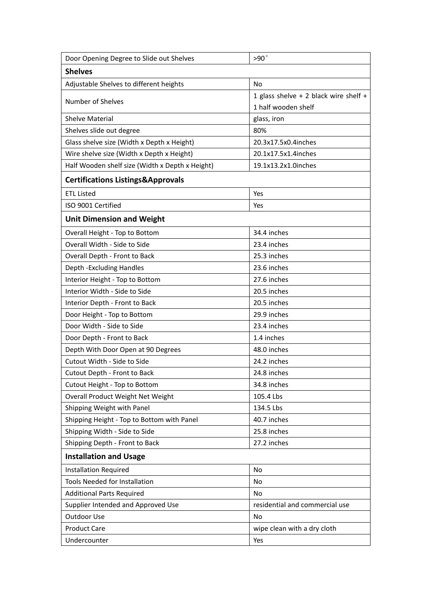| Door Opening Degree to Slide out Shelves        | $>90^\circ$                                                  |  |  |
|-------------------------------------------------|--------------------------------------------------------------|--|--|
| <b>Shelves</b>                                  |                                                              |  |  |
| Adjustable Shelves to different heights         | No                                                           |  |  |
| Number of Shelves                               | 1 glass shelve + 2 black wire shelf +<br>1 half wooden shelf |  |  |
| <b>Shelve Material</b>                          | glass, iron                                                  |  |  |
| Shelves slide out degree                        | 80%                                                          |  |  |
| Glass shelve size (Width x Depth x Height)      | 20.3x17.5x0.4inches                                          |  |  |
| Wire shelve size (Width x Depth x Height)       | 20.1x17.5x1.4inches                                          |  |  |
| Half Wooden shelf size (Width x Depth x Height) | 19.1x13.2x1.0inches                                          |  |  |
| <b>Certifications Listings&amp;Approvals</b>    |                                                              |  |  |
| <b>ETL Listed</b>                               | Yes                                                          |  |  |
| ISO 9001 Certified                              | Yes                                                          |  |  |
| <b>Unit Dimension and Weight</b>                |                                                              |  |  |
| Overall Height - Top to Bottom                  | 34.4 inches                                                  |  |  |
| Overall Width - Side to Side                    | 23.4 inches                                                  |  |  |
| Overall Depth - Front to Back                   | 25.3 inches                                                  |  |  |
| Depth - Excluding Handles                       | 23.6 inches                                                  |  |  |
| Interior Height - Top to Bottom                 | 27.6 inches                                                  |  |  |
| Interior Width - Side to Side                   | 20.5 inches                                                  |  |  |
| Interior Depth - Front to Back                  | 20.5 inches                                                  |  |  |
| Door Height - Top to Bottom                     | 29.9 inches                                                  |  |  |
| Door Width - Side to Side                       | 23.4 inches                                                  |  |  |
| Door Depth - Front to Back                      | 1.4 inches                                                   |  |  |
| Depth With Door Open at 90 Degrees              | 48.0 inches                                                  |  |  |
| Cutout Width - Side to Side                     | 24.2 inches                                                  |  |  |
| Cutout Depth - Front to Back                    | 24.8 inches                                                  |  |  |
| Cutout Height - Top to Bottom                   | 34.8 inches                                                  |  |  |
| Overall Product Weight Net Weight               | 105.4 Lbs                                                    |  |  |
| Shipping Weight with Panel                      | 134.5 Lbs                                                    |  |  |
| Shipping Height - Top to Bottom with Panel      | 40.7 inches                                                  |  |  |
| Shipping Width - Side to Side                   | 25.8 inches                                                  |  |  |
| Shipping Depth - Front to Back                  | 27.2 inches                                                  |  |  |
| <b>Installation and Usage</b>                   |                                                              |  |  |
| <b>Installation Required</b>                    | No                                                           |  |  |
| Tools Needed for Installation                   | No                                                           |  |  |
| <b>Additional Parts Required</b>                | No                                                           |  |  |
| Supplier Intended and Approved Use              | residential and commercial use                               |  |  |
| Outdoor Use                                     | No                                                           |  |  |
| <b>Product Care</b>                             | wipe clean with a dry cloth                                  |  |  |
| Undercounter                                    | Yes                                                          |  |  |